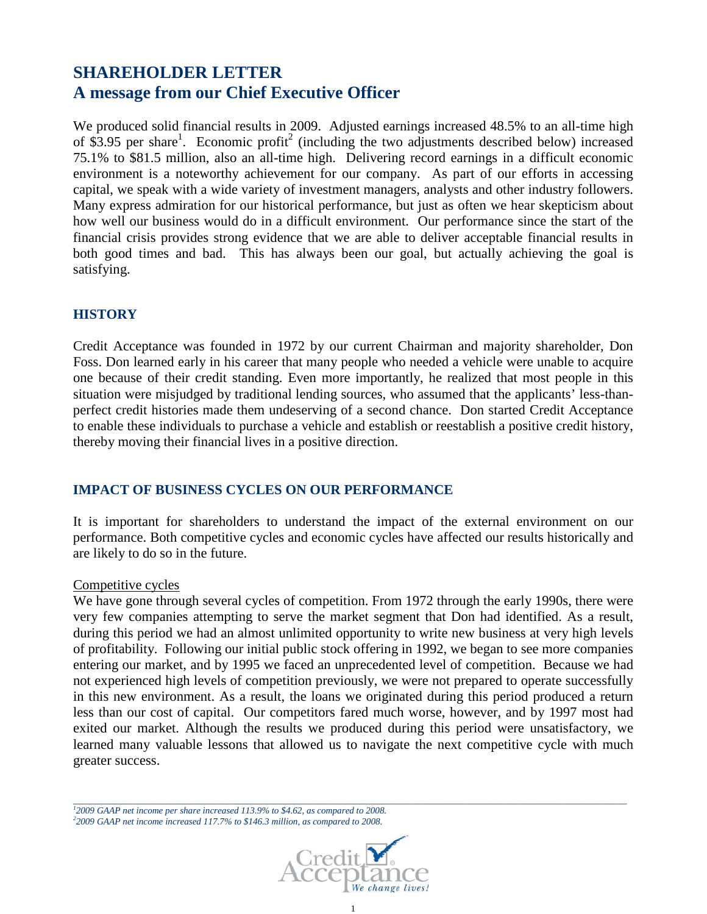# **SHAREHOLDER LETTER A message from our Chief Executive Officer**

We produced solid financial results in 2009. Adjusted earnings increased 48.5% to an all-time high of \$3.95 per share<sup>1</sup>. Economic profit<sup>2</sup> (including the two adjustments described below) increased 75.1% to \$81.5 million, also an all-time high. Delivering record earnings in a difficult economic environment is a noteworthy achievement for our company. As part of our efforts in accessing capital, we speak with a wide variety of investment managers, analysts and other industry followers. Many express admiration for our historical performance, but just as often we hear skepticism about how well our business would do in a difficult environment. Our performance since the start of the financial crisis provides strong evidence that we are able to deliver acceptable financial results in both good times and bad. This has always been our goal, but actually achieving the goal is satisfying.

## **HISTORY**

Credit Acceptance was founded in 1972 by our current Chairman and majority shareholder, Don Foss. Don learned early in his career that many people who needed a vehicle were unable to acquire one because of their credit standing. Even more importantly, he realized that most people in this situation were misjudged by traditional lending sources, who assumed that the applicants' less-thanperfect credit histories made them undeserving of a second chance. Don started Credit Acceptance to enable these individuals to purchase a vehicle and establish or reestablish a positive credit history, thereby moving their financial lives in a positive direction.

## **IMPACT OF BUSINESS CYCLES ON OUR PERFORMANCE**

It is important for shareholders to understand the impact of the external environment on our performance. Both competitive cycles and economic cycles have affected our results historically and are likely to do so in the future.

#### Competitive cycles

We have gone through several cycles of competition. From 1972 through the early 1990s, there were very few companies attempting to serve the market segment that Don had identified. As a result, during this period we had an almost unlimited opportunity to write new business at very high levels of profitability. Following our initial public stock offering in 1992, we began to see more companies entering our market, and by 1995 we faced an unprecedented level of competition. Because we had not experienced high levels of competition previously, we were not prepared to operate successfully in this new environment. As a result, the loans we originated during this period produced a return less than our cost of capital. Our competitors fared much worse, however, and by 1997 most had exited our market. Although the results we produced during this period were unsatisfactory, we learned many valuable lessons that allowed us to navigate the next competitive cycle with much greater success.

*\_\_\_\_\_\_\_\_\_\_\_\_\_\_\_\_\_\_\_\_\_\_\_\_\_\_\_\_\_\_\_\_\_\_\_\_\_\_\_\_\_\_\_\_\_\_\_\_\_\_\_\_\_\_\_\_\_\_\_\_\_\_\_\_\_\_\_\_\_\_\_\_\_\_\_\_\_\_\_\_\_\_\_\_\_\_\_\_\_\_\_\_\_\_\_\_\_\_\_\_\_\_\_\_\_\_\_\_\_\_\_\_\_\_\_\_\_\_\_\_ 1 2009 GAAP net income per share increased 113.9% to \$4.62, as compared to 2008. 2 2009 GAAP net income increased 117.7% to \$146.3 million, as compared to 2008.*

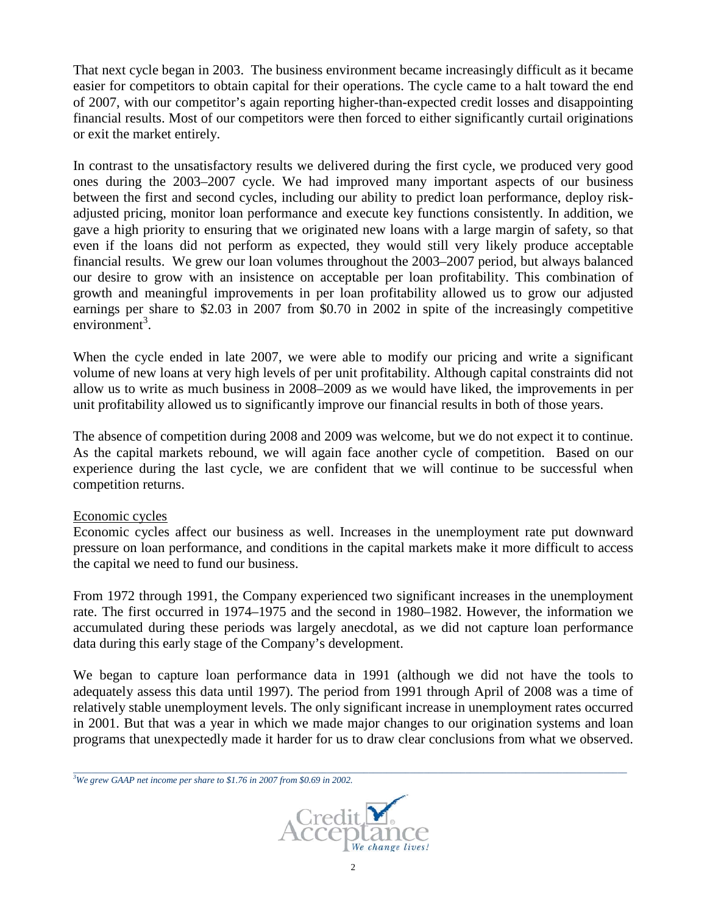That next cycle began in 2003. The business environment became increasingly difficult as it became easier for competitors to obtain capital for their operations. The cycle came to a halt toward the end of 2007, with our competitor's again reporting higher-than-expected credit losses and disappointing financial results. Most of our competitors were then forced to either significantly curtail originations or exit the market entirely.

In contrast to the unsatisfactory results we delivered during the first cycle, we produced very good ones during the 2003–2007 cycle. We had improved many important aspects of our business between the first and second cycles, including our ability to predict loan performance, deploy riskadjusted pricing, monitor loan performance and execute key functions consistently. In addition, we gave a high priority to ensuring that we originated new loans with a large margin of safety, so that even if the loans did not perform as expected, they would still very likely produce acceptable financial results. We grew our loan volumes throughout the 2003–2007 period, but always balanced our desire to grow with an insistence on acceptable per loan profitability. This combination of growth and meaningful improvements in per loan profitability allowed us to grow our adjusted earnings per share to \$2.03 in 2007 from \$0.70 in 2002 in spite of the increasingly competitive  $environment<sup>3</sup>$ .

When the cycle ended in late 2007, we were able to modify our pricing and write a significant volume of new loans at very high levels of per unit profitability. Although capital constraints did not allow us to write as much business in 2008–2009 as we would have liked, the improvements in per unit profitability allowed us to significantly improve our financial results in both of those years.

The absence of competition during 2008 and 2009 was welcome, but we do not expect it to continue. As the capital markets rebound, we will again face another cycle of competition. Based on our experience during the last cycle, we are confident that we will continue to be successful when competition returns.

## Economic cycles

Economic cycles affect our business as well. Increases in the unemployment rate put downward pressure on loan performance, and conditions in the capital markets make it more difficult to access the capital we need to fund our business.

From 1972 through 1991, the Company experienced two significant increases in the unemployment rate. The first occurred in 1974–1975 and the second in 1980–1982. However, the information we accumulated during these periods was largely anecdotal, as we did not capture loan performance data during this early stage of the Company's development.

We began to capture loan performance data in 1991 (although we did not have the tools to adequately assess this data until 1997). The period from 1991 through April of 2008 was a time of relatively stable unemployment levels. The only significant increase in unemployment rates occurred in 2001. But that was a year in which we made major changes to our origination systems and loan programs that unexpectedly made it harder for us to draw clear conclusions from what we observed.

*\_\_\_\_\_\_\_\_\_\_\_\_\_\_\_\_\_\_\_\_\_\_\_\_\_\_\_\_\_\_\_\_\_\_\_\_\_\_\_\_\_\_\_\_\_\_\_\_\_\_\_\_\_\_\_\_\_\_\_\_\_\_\_\_\_\_\_\_\_\_\_\_\_\_\_\_\_\_\_\_\_\_\_\_\_\_\_\_\_\_\_\_\_\_\_\_\_\_\_\_\_\_\_\_\_\_\_\_\_\_\_\_\_\_\_\_\_\_\_\_ 3 We grew GAAP net income per share to \$1.76 in 2007 from \$0.69 in 2002.*

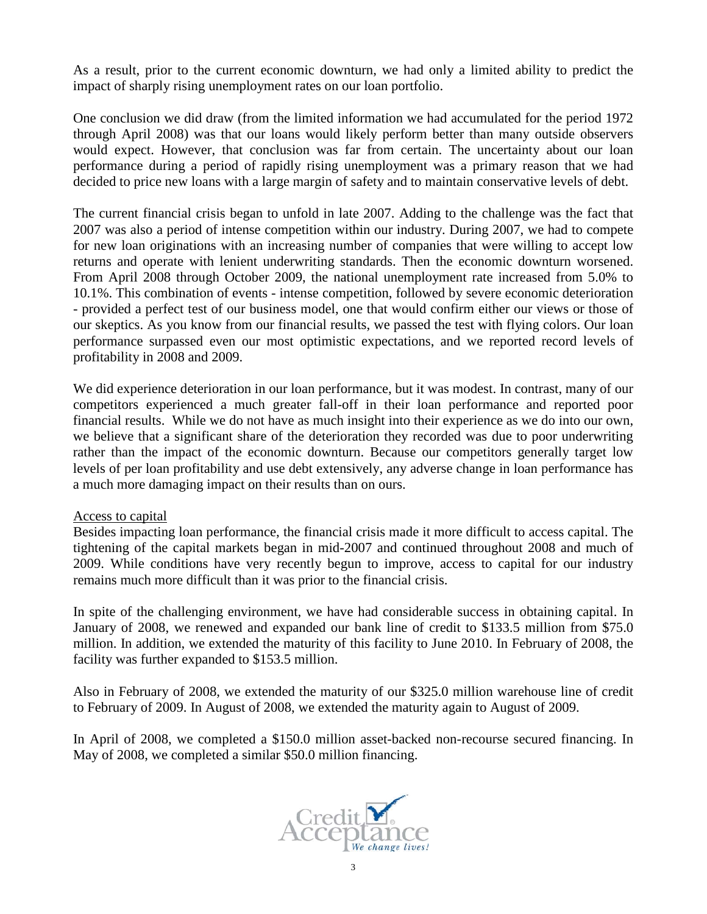As a result, prior to the current economic downturn, we had only a limited ability to predict the impact of sharply rising unemployment rates on our loan portfolio.

One conclusion we did draw (from the limited information we had accumulated for the period 1972 through April 2008) was that our loans would likely perform better than many outside observers would expect. However, that conclusion was far from certain. The uncertainty about our loan performance during a period of rapidly rising unemployment was a primary reason that we had decided to price new loans with a large margin of safety and to maintain conservative levels of debt.

The current financial crisis began to unfold in late 2007. Adding to the challenge was the fact that 2007 was also a period of intense competition within our industry. During 2007, we had to compete for new loan originations with an increasing number of companies that were willing to accept low returns and operate with lenient underwriting standards. Then the economic downturn worsened. From April 2008 through October 2009, the national unemployment rate increased from 5.0% to 10.1%. This combination of events - intense competition, followed by severe economic deterioration - provided a perfect test of our business model, one that would confirm either our views or those of our skeptics. As you know from our financial results, we passed the test with flying colors. Our loan performance surpassed even our most optimistic expectations, and we reported record levels of profitability in 2008 and 2009.

We did experience deterioration in our loan performance, but it was modest. In contrast, many of our competitors experienced a much greater fall-off in their loan performance and reported poor financial results. While we do not have as much insight into their experience as we do into our own, we believe that a significant share of the deterioration they recorded was due to poor underwriting rather than the impact of the economic downturn. Because our competitors generally target low levels of per loan profitability and use debt extensively, any adverse change in loan performance has a much more damaging impact on their results than on ours.

#### Access to capital

Besides impacting loan performance, the financial crisis made it more difficult to access capital. The tightening of the capital markets began in mid-2007 and continued throughout 2008 and much of 2009. While conditions have very recently begun to improve, access to capital for our industry remains much more difficult than it was prior to the financial crisis.

In spite of the challenging environment, we have had considerable success in obtaining capital. In January of 2008, we renewed and expanded our bank line of credit to \$133.5 million from \$75.0 million. In addition, we extended the maturity of this facility to June 2010. In February of 2008, the facility was further expanded to \$153.5 million.

Also in February of 2008, we extended the maturity of our \$325.0 million warehouse line of credit to February of 2009. In August of 2008, we extended the maturity again to August of 2009.

In April of 2008, we completed a \$150.0 million asset-backed non-recourse secured financing. In May of 2008, we completed a similar \$50.0 million financing.

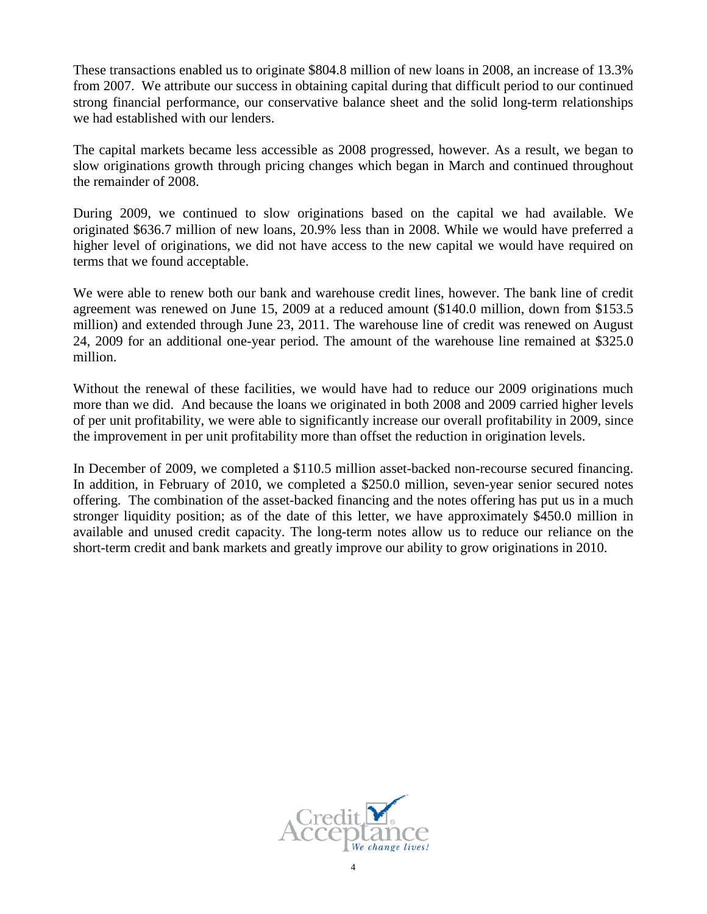These transactions enabled us to originate \$804.8 million of new loans in 2008, an increase of 13.3% from 2007. We attribute our success in obtaining capital during that difficult period to our continued strong financial performance, our conservative balance sheet and the solid long-term relationships we had established with our lenders.

The capital markets became less accessible as 2008 progressed, however. As a result, we began to slow originations growth through pricing changes which began in March and continued throughout the remainder of 2008.

During 2009, we continued to slow originations based on the capital we had available. We originated \$636.7 million of new loans, 20.9% less than in 2008. While we would have preferred a higher level of originations, we did not have access to the new capital we would have required on terms that we found acceptable.

We were able to renew both our bank and warehouse credit lines, however. The bank line of credit agreement was renewed on June 15, 2009 at a reduced amount (\$140.0 million, down from \$153.5 million) and extended through June 23, 2011. The warehouse line of credit was renewed on August 24, 2009 for an additional one-year period. The amount of the warehouse line remained at \$325.0 million.

Without the renewal of these facilities, we would have had to reduce our 2009 originations much more than we did. And because the loans we originated in both 2008 and 2009 carried higher levels of per unit profitability, we were able to significantly increase our overall profitability in 2009, since the improvement in per unit profitability more than offset the reduction in origination levels.

In December of 2009, we completed a \$110.5 million asset-backed non-recourse secured financing. In addition, in February of 2010, we completed a \$250.0 million, seven-year senior secured notes offering. The combination of the asset-backed financing and the notes offering has put us in a much stronger liquidity position; as of the date of this letter, we have approximately \$450.0 million in available and unused credit capacity. The long-term notes allow us to reduce our reliance on the short-term credit and bank markets and greatly improve our ability to grow originations in 2010.

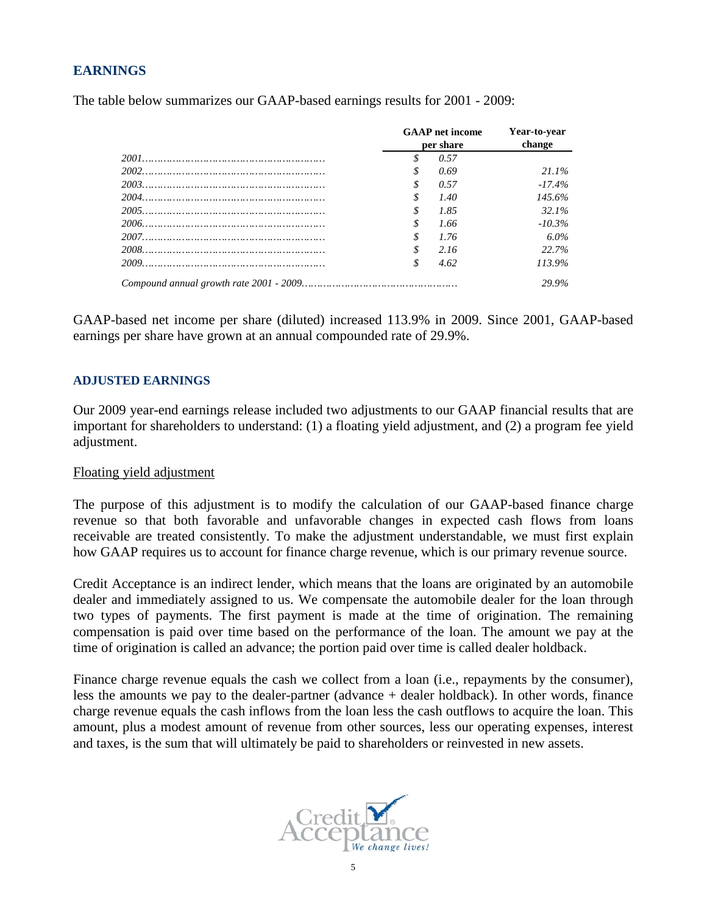## **EARNINGS**

| <b>GAAP</b> net income<br>per share | Year-to-year<br>change |           |
|-------------------------------------|------------------------|-----------|
|                                     | 0.57                   |           |
| \$                                  | 0.69                   | $21.1\%$  |
| \$                                  | 0.57                   | $-17.4\%$ |
| \$                                  | 1.40                   | 145.6%    |
| \$                                  | 1.85                   | 32.1%     |
| \$                                  | 1.66                   | $-10.3\%$ |
| \$                                  | 1.76                   | $6.0\%$   |
| \$                                  | 2.16                   | 22.7%     |
| \$                                  | 4.62                   | 113.9%    |
|                                     |                        | 29.9%     |

The table below summarizes our GAAP-based earnings results for 2001 - 2009:

GAAP-based net income per share (diluted) increased 113.9% in 2009. Since 2001, GAAP-based earnings per share have grown at an annual compounded rate of 29.9%.

#### **ADJUSTED EARNINGS**

Our 2009 year-end earnings release included two adjustments to our GAAP financial results that are important for shareholders to understand: (1) a floating yield adjustment, and (2) a program fee yield adjustment.

#### Floating yield adjustment

The purpose of this adjustment is to modify the calculation of our GAAP-based finance charge revenue so that both favorable and unfavorable changes in expected cash flows from loans receivable are treated consistently. To make the adjustment understandable, we must first explain how GAAP requires us to account for finance charge revenue, which is our primary revenue source.

Credit Acceptance is an indirect lender, which means that the loans are originated by an automobile dealer and immediately assigned to us. We compensate the automobile dealer for the loan through two types of payments. The first payment is made at the time of origination. The remaining compensation is paid over time based on the performance of the loan. The amount we pay at the time of origination is called an advance; the portion paid over time is called dealer holdback.

Finance charge revenue equals the cash we collect from a loan (i.e., repayments by the consumer), less the amounts we pay to the dealer-partner (advance + dealer holdback). In other words, finance charge revenue equals the cash inflows from the loan less the cash outflows to acquire the loan. This amount, plus a modest amount of revenue from other sources, less our operating expenses, interest and taxes, is the sum that will ultimately be paid to shareholders or reinvested in new assets.

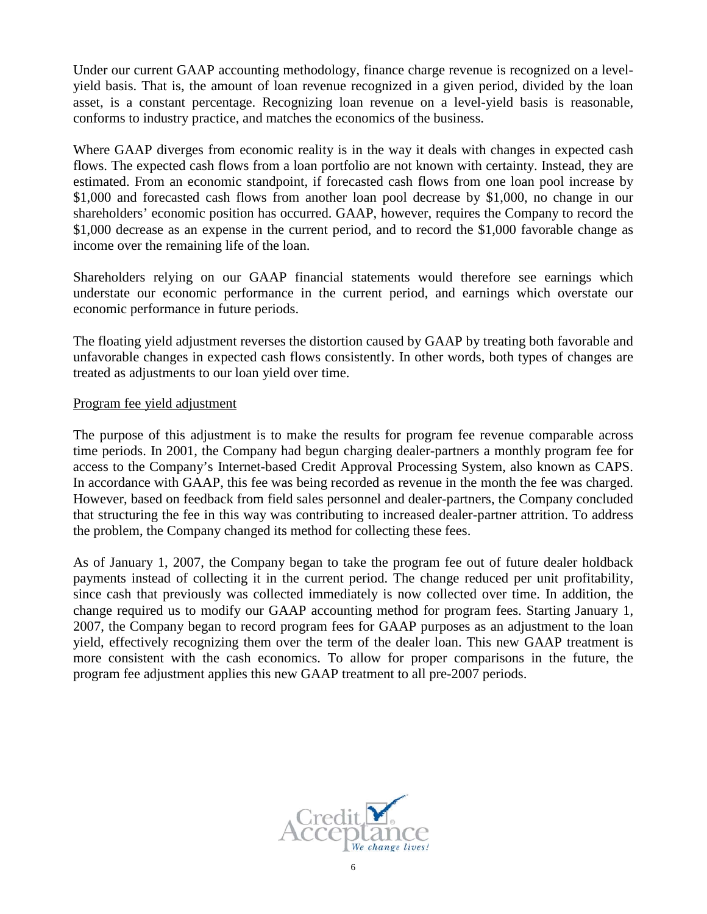Under our current GAAP accounting methodology, finance charge revenue is recognized on a levelyield basis. That is, the amount of loan revenue recognized in a given period, divided by the loan asset, is a constant percentage. Recognizing loan revenue on a level-yield basis is reasonable, conforms to industry practice, and matches the economics of the business.

Where GAAP diverges from economic reality is in the way it deals with changes in expected cash flows. The expected cash flows from a loan portfolio are not known with certainty. Instead, they are estimated. From an economic standpoint, if forecasted cash flows from one loan pool increase by \$1,000 and forecasted cash flows from another loan pool decrease by \$1,000, no change in our shareholders' economic position has occurred. GAAP, however, requires the Company to record the \$1,000 decrease as an expense in the current period, and to record the \$1,000 favorable change as income over the remaining life of the loan.

Shareholders relying on our GAAP financial statements would therefore see earnings which understate our economic performance in the current period, and earnings which overstate our economic performance in future periods.

The floating yield adjustment reverses the distortion caused by GAAP by treating both favorable and unfavorable changes in expected cash flows consistently. In other words, both types of changes are treated as adjustments to our loan yield over time.

#### Program fee yield adjustment

The purpose of this adjustment is to make the results for program fee revenue comparable across time periods. In 2001, the Company had begun charging dealer-partners a monthly program fee for access to the Company's Internet-based Credit Approval Processing System, also known as CAPS. In accordance with GAAP, this fee was being recorded as revenue in the month the fee was charged. However, based on feedback from field sales personnel and dealer-partners, the Company concluded that structuring the fee in this way was contributing to increased dealer-partner attrition. To address the problem, the Company changed its method for collecting these fees.

As of January 1, 2007, the Company began to take the program fee out of future dealer holdback payments instead of collecting it in the current period. The change reduced per unit profitability, since cash that previously was collected immediately is now collected over time. In addition, the change required us to modify our GAAP accounting method for program fees. Starting January 1, 2007, the Company began to record program fees for GAAP purposes as an adjustment to the loan yield, effectively recognizing them over the term of the dealer loan. This new GAAP treatment is more consistent with the cash economics. To allow for proper comparisons in the future, the program fee adjustment applies this new GAAP treatment to all pre-2007 periods.

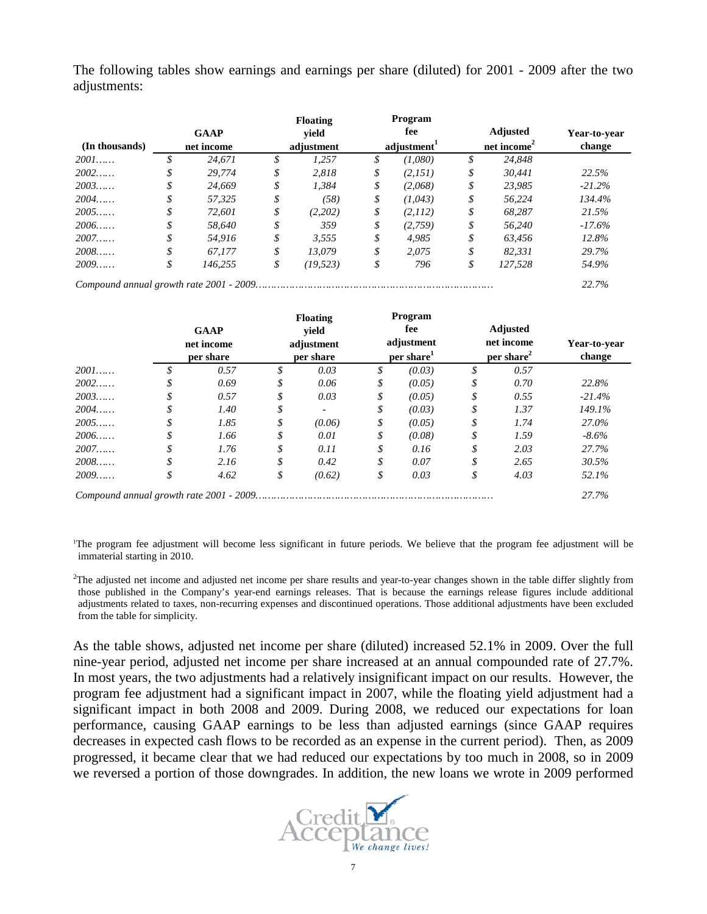The following tables show earnings and earnings per share (diluted) for 2001 - 2009 after the two adjustments:

| (In thousands) | <b>GAAP</b><br>net income | <b>Floating</b><br>vield<br>adjustment | Program<br>fee<br>adjustment <sup>1</sup> | <b>Adjusted</b><br>net income <sup>2</sup> |         | Year-to-vear<br>change |
|----------------|---------------------------|----------------------------------------|-------------------------------------------|--------------------------------------------|---------|------------------------|
| 2001           | \$<br>24.671              | 1,257                                  | \$<br>(1,080)                             |                                            | 24,848  |                        |
| 2002           | 29.774                    | \$<br>2.818                            | \$<br>(2,151)                             | \$                                         | 30.441  | 22.5%                  |
| 2003           | \$<br>24.669              | \$<br>1.384                            | \$<br>(2,068)                             | \$                                         | 23.985  | $-21.2%$               |
| 2004           | \$<br>57.325              | \$<br>(58)                             | \$<br>(1,043)                             | \$                                         | 56.224  | 134.4%                 |
| 2005           | \$<br>72.601              | \$<br>(2,202)                          | \$<br>(2.112)                             | \$                                         | 68.287  | 21.5%                  |
| 2006           | \$<br>58.640              | \$<br>359                              | \$<br>(2,759)                             | \$                                         | 56.240  | $-17.6\%$              |
| 2007           | \$<br>54.916              | \$<br>3.555                            | \$<br>4.985                               | \$                                         | 63.456  | 12.8%                  |
| 2008           | \$<br>67.177              | \$<br>13.079                           | \$<br>2.075                               | \$                                         | 82.331  | 29.7%                  |
| 2009           | \$<br>146.255             | \$<br>(19, 523)                        | \$<br>796                                 | \$                                         | 127.528 | 54.9%                  |
|                |                           |                                        |                                           |                                            |         | 22.7%                  |

|        | <b>GAAP</b><br>net income<br>per share |    | <b>Floating</b><br>vield<br>adjustment<br>per share |    | Program<br>fee<br>adjustment<br>per share |    | <b>Adjusted</b><br>net income<br>per share <sup>2</sup> | Year-to-year<br>change |  |
|--------|----------------------------------------|----|-----------------------------------------------------|----|-------------------------------------------|----|---------------------------------------------------------|------------------------|--|
| $2001$ | 0.57                                   |    | 0.03                                                |    | (0.03)                                    | \$ | 0.57                                                    |                        |  |
| 2002   | 0.69                                   | \$ | 0.06                                                | \$ | (0.05)                                    | \$ | 0.70                                                    | 22.8%                  |  |
| 2003   | \$<br>0.57                             | \$ | 0.03                                                | \$ | (0.05)                                    | \$ | 0.55                                                    | $-21.4%$               |  |
| $2004$ | 1.40                                   | \$ |                                                     |    | (0.03)                                    | \$ | 1.37                                                    | 149.1%                 |  |
| 2005   | 1.85                                   | \$ | (0.06)                                              | \$ | (0.05)                                    | \$ | 1.74                                                    | 27.0%                  |  |
| 2006   | \$<br>1.66                             | ♪  | 0.01                                                | \$ | (0.08)                                    | \$ | 1.59                                                    | $-8.6\%$               |  |
| 2007   | \$<br>1.76                             | \$ | 0.11                                                | \$ | 0.16                                      | \$ | 2.03                                                    | 27.7%                  |  |
| 2008   | 2.16                                   | \$ | 0.42                                                | \$ | 0.07                                      | \$ | 2.65                                                    | 30.5%                  |  |
| 2009   | \$<br>4.62                             | \$ | (0.62)                                              | \$ | 0.03                                      | \$ | 4.03                                                    | 52.1%                  |  |
|        |                                        |    |                                                     |    |                                           |    |                                                         | 27.7%                  |  |

1 The program fee adjustment will become less significant in future periods. We believe that the program fee adjustment will be immaterial starting in 2010.

 $2$ The adjusted net income and adjusted net income per share results and year-to-year changes shown in the table differ slightly from those published in the Company's year-end earnings releases. That is because the earnings release figures include additional adjustments related to taxes, non-recurring expenses and discontinued operations. Those additional adjustments have been excluded from the table for simplicity.

As the table shows, adjusted net income per share (diluted) increased 52.1% in 2009. Over the full nine-year period, adjusted net income per share increased at an annual compounded rate of 27.7%. In most years, the two adjustments had a relatively insignificant impact on our results. However, the program fee adjustment had a significant impact in 2007, while the floating yield adjustment had a significant impact in both 2008 and 2009. During 2008, we reduced our expectations for loan performance, causing GAAP earnings to be less than adjusted earnings (since GAAP requires decreases in expected cash flows to be recorded as an expense in the current period). Then, as 2009 progressed, it became clear that we had reduced our expectations by too much in 2008, so in 2009 we reversed a portion of those downgrades. In addition, the new loans we wrote in 2009 performed

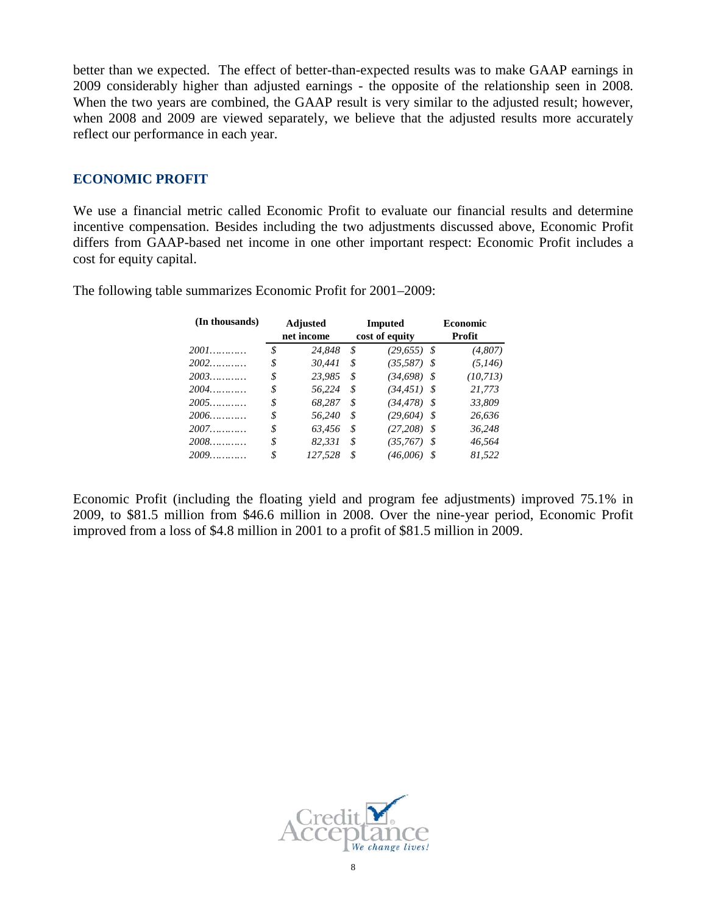better than we expected. The effect of better-than-expected results was to make GAAP earnings in 2009 considerably higher than adjusted earnings - the opposite of the relationship seen in 2008. When the two years are combined, the GAAP result is very similar to the adjusted result; however, when 2008 and 2009 are viewed separately, we believe that the adjusted results more accurately reflect our performance in each year.

#### **ECONOMIC PROFIT**

We use a financial metric called Economic Profit to evaluate our financial results and determine incentive compensation. Besides including the two adjustments discussed above, Economic Profit differs from GAAP-based net income in one other important respect: Economic Profit includes a cost for equity capital.

| (In thousands) | Adjusted<br>net income | Imputed<br>cost of equity | <b>Economic</b><br>Profit |  |
|----------------|------------------------|---------------------------|---------------------------|--|
| $2001$         | \$<br>24,848           | \$<br>$(29, 655)$ \$      | (4,807)                   |  |
| $2002$         | \$<br>30.441           | \$<br>$(35,587)$ \$       | (5,146)                   |  |
| $2003$         | \$<br>23,985           | \$<br>$(34,698)$ \$       | (10, 713)                 |  |
| $2004$         | \$<br>56.224           | \$<br>$(34, 451)$ \$      | 21.773                    |  |
| 2005           | \$<br>68.287           | \$<br>$(34, 478)$ \$      | 33,809                    |  |
| 2006           | \$<br>56,240           | \$<br>$(29,604)$ \$       | 26,636                    |  |
| 2007           | \$<br>63,456           | \$<br>$(27,208)$ \$       | 36,248                    |  |
| $2008$         | \$<br>82,331           | \$<br>$(35,767)$ \$       | 46.564                    |  |
| 2009           | \$<br>127,528          | \$<br>$(46,006)$ \$       | 81,522                    |  |

The following table summarizes Economic Profit for 2001–2009:

Economic Profit (including the floating yield and program fee adjustments) improved 75.1% in 2009, to \$81.5 million from \$46.6 million in 2008. Over the nine-year period, Economic Profit improved from a loss of \$4.8 million in 2001 to a profit of \$81.5 million in 2009.

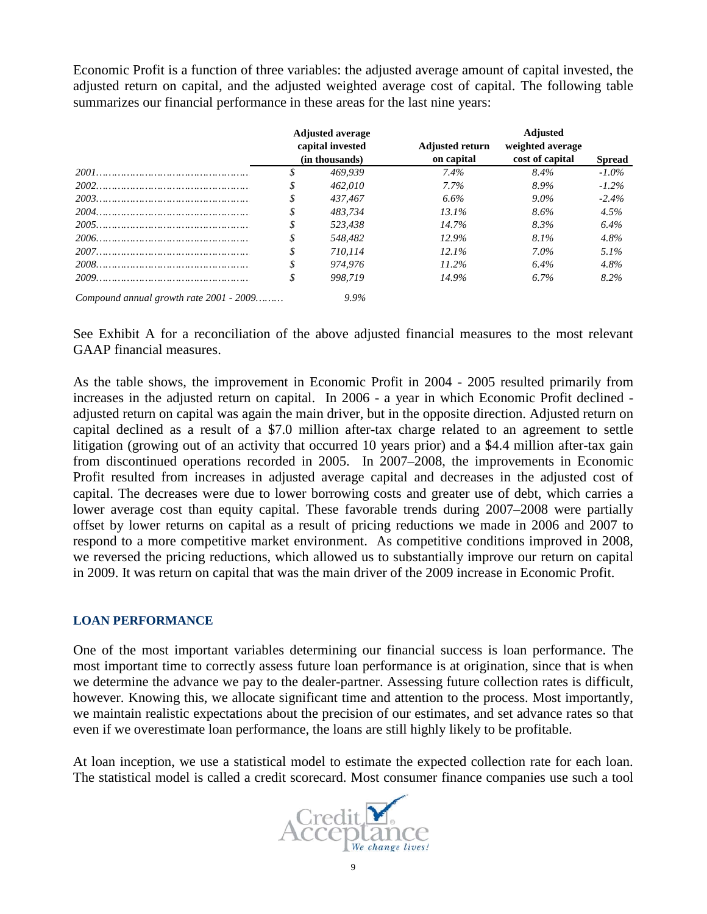Economic Profit is a function of three variables: the adjusted average amount of capital invested, the adjusted return on capital, and the adjusted weighted average cost of capital. The following table summarizes our financial performance in these areas for the last nine years:

|                                           | <b>Adjusted average</b><br>capital invested<br>(in thousands) | <b>Adjusted return</b><br>on capital | <b>Adjusted</b><br>weighted average<br>cost of capital | <b>Spread</b> |  |
|-------------------------------------------|---------------------------------------------------------------|--------------------------------------|--------------------------------------------------------|---------------|--|
|                                           | 469.939                                                       | $7.4\%$                              | $8.4\%$                                                | $-1.0\%$      |  |
|                                           | 462.010                                                       | $7.7\%$                              | 8.9%                                                   | $-1.2\%$      |  |
|                                           | 437.467                                                       | 6.6%                                 | $9.0\%$                                                | $-2.4\%$      |  |
|                                           | 483.734                                                       | $13.1\%$                             | 8.6%                                                   | 4.5%          |  |
|                                           | 523.438                                                       | $14.7\%$                             | 8.3%                                                   | 6.4%          |  |
|                                           | 548.482                                                       | $12.9\%$                             | 8.1%                                                   | $4.8\%$       |  |
|                                           | 710.114                                                       | 12.1%                                | $7.0\%$                                                | $5.1\%$       |  |
|                                           | 974.976                                                       | $11.2\%$                             | $6.4\%$                                                | 4.8%          |  |
|                                           | 998.719                                                       | 14.9%                                | 6.7%                                                   | $8.2\%$       |  |
| Compound annual growth rate $2001 - 2009$ | 9.9%                                                          |                                      |                                                        |               |  |

See Exhibit A for a reconciliation of the above adjusted financial measures to the most relevant GAAP financial measures.

As the table shows, the improvement in Economic Profit in 2004 - 2005 resulted primarily from increases in the adjusted return on capital. In 2006 - a year in which Economic Profit declined adjusted return on capital was again the main driver, but in the opposite direction. Adjusted return on capital declined as a result of a \$7.0 million after-tax charge related to an agreement to settle litigation (growing out of an activity that occurred 10 years prior) and a \$4.4 million after-tax gain from discontinued operations recorded in 2005. In 2007–2008, the improvements in Economic Profit resulted from increases in adjusted average capital and decreases in the adjusted cost of capital. The decreases were due to lower borrowing costs and greater use of debt, which carries a lower average cost than equity capital. These favorable trends during 2007–2008 were partially offset by lower returns on capital as a result of pricing reductions we made in 2006 and 2007 to respond to a more competitive market environment. As competitive conditions improved in 2008, we reversed the pricing reductions, which allowed us to substantially improve our return on capital in 2009. It was return on capital that was the main driver of the 2009 increase in Economic Profit.

#### **LOAN PERFORMANCE**

One of the most important variables determining our financial success is loan performance. The most important time to correctly assess future loan performance is at origination, since that is when we determine the advance we pay to the dealer-partner. Assessing future collection rates is difficult, however. Knowing this, we allocate significant time and attention to the process. Most importantly, we maintain realistic expectations about the precision of our estimates, and set advance rates so that even if we overestimate loan performance, the loans are still highly likely to be profitable.

At loan inception, we use a statistical model to estimate the expected collection rate for each loan. The statistical model is called a credit scorecard. Most consumer finance companies use such a tool

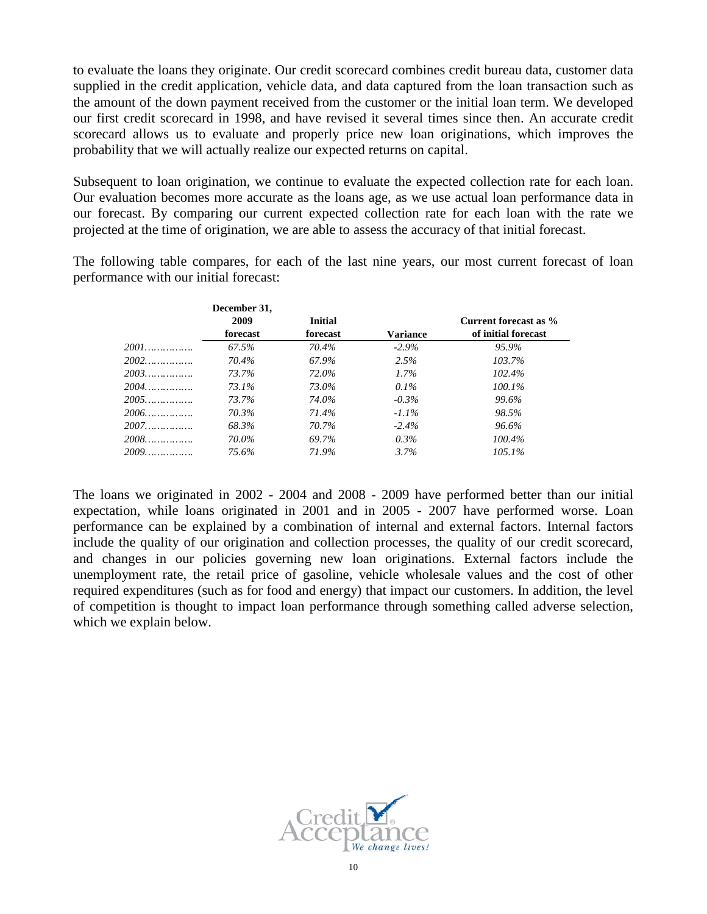to evaluate the loans they originate. Our credit scorecard combines credit bureau data, customer data supplied in the credit application, vehicle data, and data captured from the loan transaction such as the amount of the down payment received from the customer or the initial loan term. We developed our first credit scorecard in 1998, and have revised it several times since then. An accurate credit scorecard allows us to evaluate and properly price new loan originations, which improves the probability that we will actually realize our expected returns on capital.

Subsequent to loan origination, we continue to evaluate the expected collection rate for each loan. Our evaluation becomes more accurate as the loans age, as we use actual loan performance data in our forecast. By comparing our current expected collection rate for each loan with the rate we projected at the time of origination, we are able to assess the accuracy of that initial forecast.

The following table compares, for each of the last nine years, our most current forecast of loan performance with our initial forecast:

| December 31, |                |                 |                       |
|--------------|----------------|-----------------|-----------------------|
| 2009         | <b>Initial</b> |                 | Current forecast as % |
| forecast     | forecast       | <b>Variance</b> | of initial forecast   |
| 67.5%        | 70.4%          | $-2.9\%$        | 95.9%                 |
| 70.4%        | 67.9%          | 2.5%            | 103.7%                |
| 73.7%        | 72.0%          | $1.7\%$         | 102.4%                |
| 73.1%        | 73.0%          | $0.1\%$         | $100.1\%$             |
| 73.7%        | 74.0%          | $-0.3\%$        | 99.6%                 |
| 70.3%        | 71.4%          | $-1.1\%$        | 98.5%                 |
| 68.3%        | 70.7%          | $-2.4\%$        | 96.6%                 |
| 70.0%        | 69.7%          | $0.3\%$         | $100.4\%$             |
| 75.6%        | 71.9%          | 3.7%            | $105.1\%$             |
|              |                |                 |                       |

The loans we originated in 2002 - 2004 and 2008 - 2009 have performed better than our initial expectation, while loans originated in 2001 and in 2005 - 2007 have performed worse. Loan performance can be explained by a combination of internal and external factors. Internal factors include the quality of our origination and collection processes, the quality of our credit scorecard, and changes in our policies governing new loan originations. External factors include the unemployment rate, the retail price of gasoline, vehicle wholesale values and the cost of other required expenditures (such as for food and energy) that impact our customers. In addition, the level of competition is thought to impact loan performance through something called adverse selection, which we explain below.

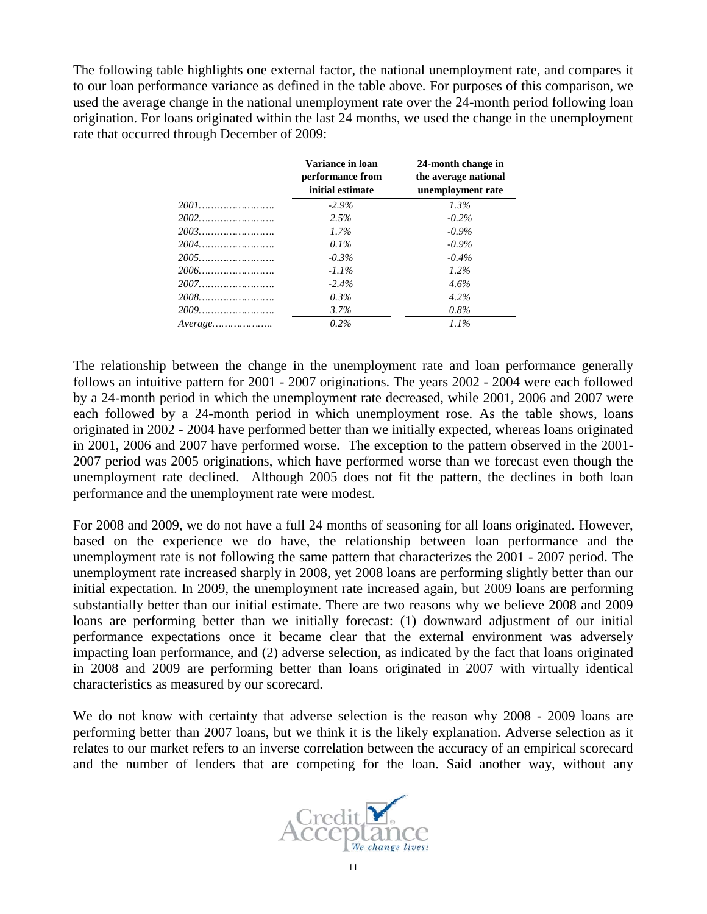The following table highlights one external factor, the national unemployment rate, and compares it to our loan performance variance as defined in the table above. For purposes of this comparison, we used the average change in the national unemployment rate over the 24-month period following loan origination. For loans originated within the last 24 months, we used the change in the unemployment rate that occurred through December of 2009:

|                                         | Variance in loan<br>performance from<br>initial estimate | 24-month change in<br>the average national<br>unemployment rate |
|-----------------------------------------|----------------------------------------------------------|-----------------------------------------------------------------|
| 2001                                    | $-2.9\%$                                                 | $1.3\%$                                                         |
|                                         | 2.5%                                                     | $-0.2\%$                                                        |
|                                         | $1.7\%$                                                  | $-0.9\%$                                                        |
|                                         | $0.1\%$                                                  | $-0.9\%$                                                        |
|                                         | $-0.3\%$                                                 | $-0.4\%$                                                        |
|                                         | $-1.1\%$                                                 | $1.2\%$                                                         |
|                                         | $-2.4\%$                                                 | 4.6%                                                            |
|                                         | $0.3\%$                                                  | $4.2\%$                                                         |
|                                         | $3.7\%$                                                  | $0.8\%$                                                         |
| $Average \dots \dots \dots \dots \dots$ | $0.2\%$                                                  | $1.1\%$                                                         |

The relationship between the change in the unemployment rate and loan performance generally follows an intuitive pattern for 2001 - 2007 originations. The years 2002 - 2004 were each followed by a 24-month period in which the unemployment rate decreased, while 2001, 2006 and 2007 were each followed by a 24-month period in which unemployment rose. As the table shows, loans originated in 2002 - 2004 have performed better than we initially expected, whereas loans originated in 2001, 2006 and 2007 have performed worse. The exception to the pattern observed in the 2001- 2007 period was 2005 originations, which have performed worse than we forecast even though the unemployment rate declined. Although 2005 does not fit the pattern, the declines in both loan performance and the unemployment rate were modest.

For 2008 and 2009, we do not have a full 24 months of seasoning for all loans originated. However, based on the experience we do have, the relationship between loan performance and the unemployment rate is not following the same pattern that characterizes the 2001 - 2007 period. The unemployment rate increased sharply in 2008, yet 2008 loans are performing slightly better than our initial expectation. In 2009, the unemployment rate increased again, but 2009 loans are performing substantially better than our initial estimate. There are two reasons why we believe 2008 and 2009 loans are performing better than we initially forecast: (1) downward adjustment of our initial performance expectations once it became clear that the external environment was adversely impacting loan performance, and (2) adverse selection, as indicated by the fact that loans originated in 2008 and 2009 are performing better than loans originated in 2007 with virtually identical characteristics as measured by our scorecard.

We do not know with certainty that adverse selection is the reason why 2008 - 2009 loans are performing better than 2007 loans, but we think it is the likely explanation. Adverse selection as it relates to our market refers to an inverse correlation between the accuracy of an empirical scorecard and the number of lenders that are competing for the loan. Said another way, without any

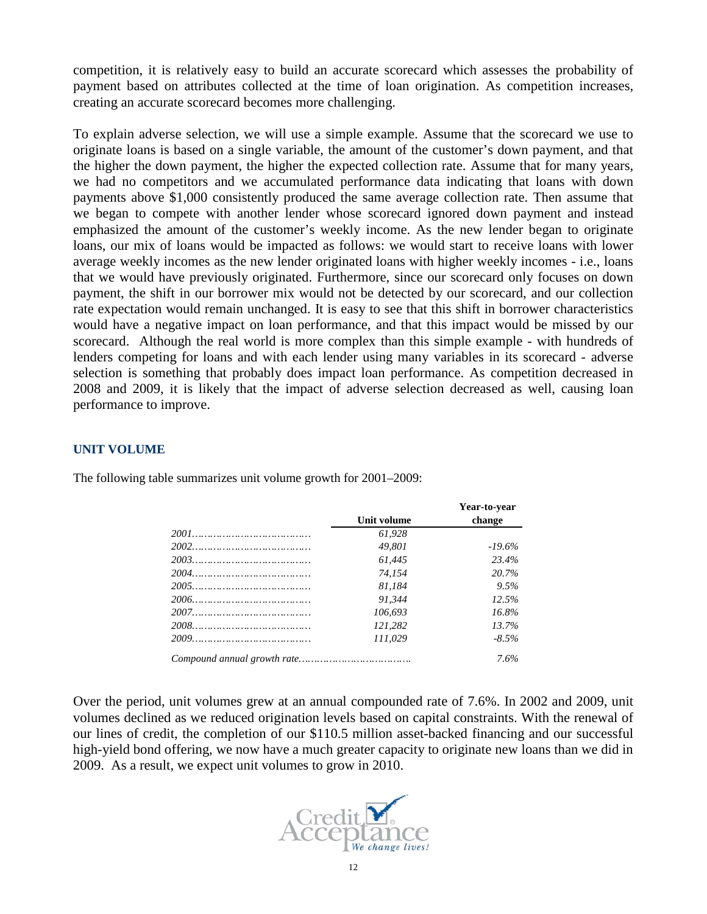competition, it is relatively easy to build an accurate scorecard which assesses the probability of payment based on attributes collected at the time of loan origination. As competition increases, creating an accurate scorecard becomes more challenging.

To explain adverse selection, we will use a simple example. Assume that the scorecard we use to originate loans is based on a single variable, the amount of the customer's down payment, and that the higher the down payment, the higher the expected collection rate. Assume that for many years, we had no competitors and we accumulated performance data indicating that loans with down payments above \$1,000 consistently produced the same average collection rate. Then assume that we began to compete with another lender whose scorecard ignored down payment and instead emphasized the amount of the customer's weekly income. As the new lender began to originate loans, our mix of loans would be impacted as follows: we would start to receive loans with lower average weekly incomes as the new lender originated loans with higher weekly incomes - i.e., loans that we would have previously originated. Furthermore, since our scorecard only focuses on down payment, the shift in our borrower mix would not be detected by our scorecard, and our collection rate expectation would remain unchanged. It is easy to see that this shift in borrower characteristics would have a negative impact on loan performance, and that this impact would be missed by our scorecard. Although the real world is more complex than this simple example - with hundreds of lenders competing for loans and with each lender using many variables in its scorecard - adverse selection is something that probably does impact loan performance. As competition decreased in 2008 and 2009, it is likely that the impact of adverse selection decreased as well, causing loan performance to improve.

#### **UNIT VOLUME**

The following table summarizes unit volume growth for 2001–2009:

|             | Year-to-year |
|-------------|--------------|
| Unit volume | change       |
| 61.928      |              |
| 49.801      | $-19.6%$     |
| 61.445      | 23.4%        |
| 74.154      | 20.7%        |
| 81.184      | 9.5%         |
| 91.344      | 12.5%        |
| 106.693     | 16.8%        |
| 121.282     | 13.7%        |
| 111.029     | $-8.5\%$     |
|             | 7.6%         |

Over the period, unit volumes grew at an annual compounded rate of 7.6%. In 2002 and 2009, unit volumes declined as we reduced origination levels based on capital constraints. With the renewal of our lines of credit, the completion of our \$110.5 million asset-backed financing and our successful high-yield bond offering, we now have a much greater capacity to originate new loans than we did in 2009. As a result, we expect unit volumes to grow in 2010.

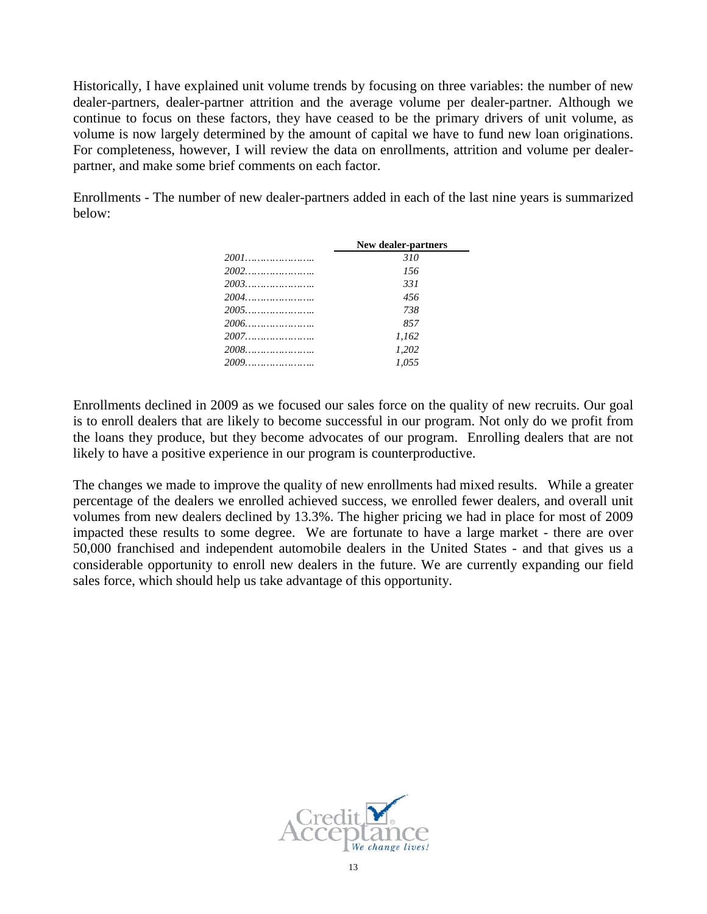Historically, I have explained unit volume trends by focusing on three variables: the number of new dealer-partners, dealer-partner attrition and the average volume per dealer-partner. Although we continue to focus on these factors, they have ceased to be the primary drivers of unit volume, as volume is now largely determined by the amount of capital we have to fund new loan originations. For completeness, however, I will review the data on enrollments, attrition and volume per dealerpartner, and make some brief comments on each factor.

Enrollments - The number of new dealer-partners added in each of the last nine years is summarized below:

| New dealer-partners |
|---------------------|
| 310                 |
| 156                 |
| 331                 |
| 456                 |
| 738                 |
| 857                 |
| 1.162               |
| 1.202               |
| 1.055               |
|                     |

Enrollments declined in 2009 as we focused our sales force on the quality of new recruits. Our goal is to enroll dealers that are likely to become successful in our program. Not only do we profit from the loans they produce, but they become advocates of our program. Enrolling dealers that are not likely to have a positive experience in our program is counterproductive.

The changes we made to improve the quality of new enrollments had mixed results. While a greater percentage of the dealers we enrolled achieved success, we enrolled fewer dealers, and overall unit volumes from new dealers declined by 13.3%. The higher pricing we had in place for most of 2009 impacted these results to some degree. We are fortunate to have a large market - there are over 50,000 franchised and independent automobile dealers in the United States - and that gives us a considerable opportunity to enroll new dealers in the future. We are currently expanding our field sales force, which should help us take advantage of this opportunity.

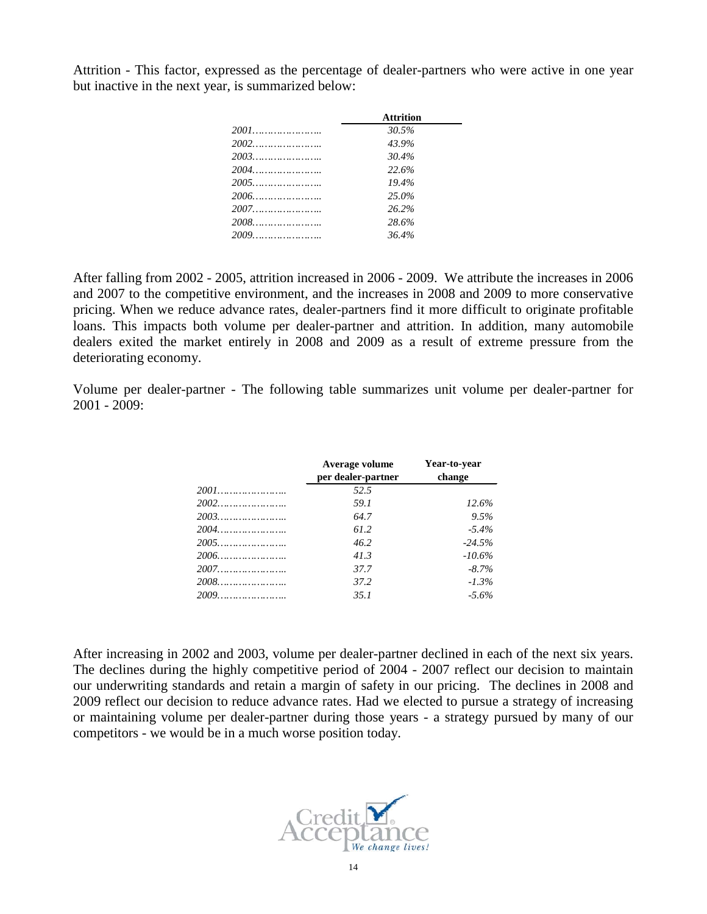Attrition - This factor, expressed as the percentage of dealer-partners who were active in one year but inactive in the next year, is summarized below:

|      | <b>Attrition</b> |  |
|------|------------------|--|
| 2001 | 30.5%            |  |
| 2002 | 43.9%            |  |
|      | 30.4%            |  |
|      | 22.6%            |  |
|      | 19.4%            |  |
| 2006 | 25.0%            |  |
|      | 26.2%            |  |
| 2008 | 28.6%            |  |
| 2009 | 36.4%            |  |

After falling from 2002 - 2005, attrition increased in 2006 - 2009. We attribute the increases in 2006 and 2007 to the competitive environment, and the increases in 2008 and 2009 to more conservative pricing. When we reduce advance rates, dealer-partners find it more difficult to originate profitable loans. This impacts both volume per dealer-partner and attrition. In addition, many automobile dealers exited the market entirely in 2008 and 2009 as a result of extreme pressure from the deteriorating economy.

Volume per dealer-partner - The following table summarizes unit volume per dealer-partner for 2001 - 2009:

|        | Average volume<br>per dealer-partner | Year-to-year<br>change |
|--------|--------------------------------------|------------------------|
| $2001$ | 52.5                                 |                        |
|        | 59.1                                 | 12.6%                  |
|        | 64.7                                 | 9.5%                   |
|        | 61.2                                 | $-5.4\%$               |
|        | 46.2                                 | $-24.5%$               |
|        | 41.3                                 | $-10.6\%$              |
|        | 37.7                                 | $-8.7\%$               |
| 2008   | 37.2                                 | $-1.3\%$               |
|        | 35.1                                 | $-5.6\%$               |

After increasing in 2002 and 2003, volume per dealer-partner declined in each of the next six years. The declines during the highly competitive period of 2004 - 2007 reflect our decision to maintain our underwriting standards and retain a margin of safety in our pricing. The declines in 2008 and 2009 reflect our decision to reduce advance rates. Had we elected to pursue a strategy of increasing or maintaining volume per dealer-partner during those years - a strategy pursued by many of our competitors - we would be in a much worse position today.

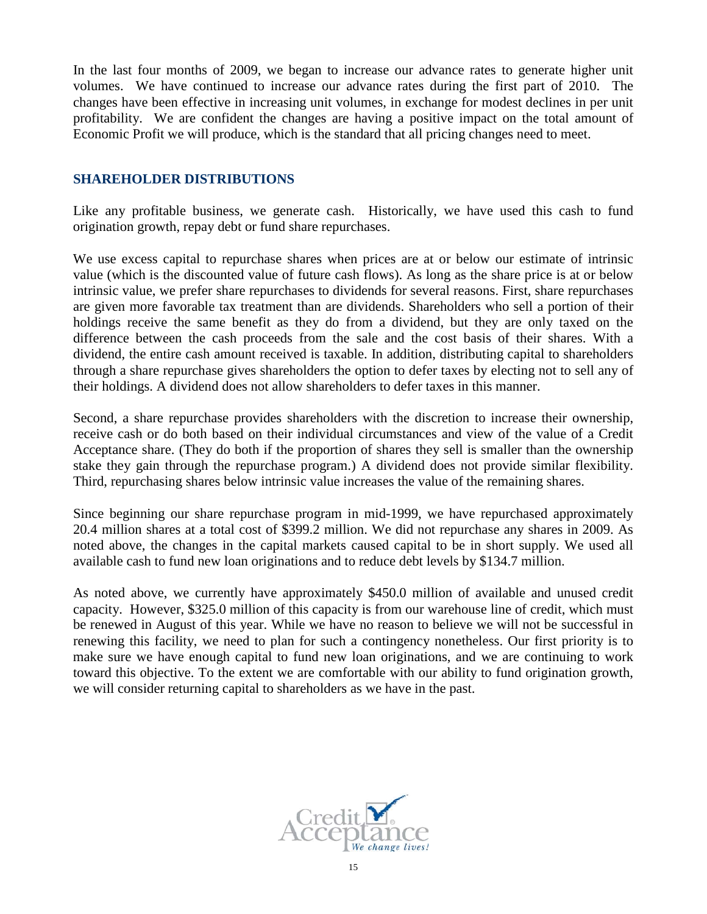In the last four months of 2009, we began to increase our advance rates to generate higher unit volumes. We have continued to increase our advance rates during the first part of 2010. The changes have been effective in increasing unit volumes, in exchange for modest declines in per unit profitability. We are confident the changes are having a positive impact on the total amount of Economic Profit we will produce, which is the standard that all pricing changes need to meet.

## **SHAREHOLDER DISTRIBUTIONS**

Like any profitable business, we generate cash. Historically, we have used this cash to fund origination growth, repay debt or fund share repurchases.

We use excess capital to repurchase shares when prices are at or below our estimate of intrinsic value (which is the discounted value of future cash flows). As long as the share price is at or below intrinsic value, we prefer share repurchases to dividends for several reasons. First, share repurchases are given more favorable tax treatment than are dividends. Shareholders who sell a portion of their holdings receive the same benefit as they do from a dividend, but they are only taxed on the difference between the cash proceeds from the sale and the cost basis of their shares. With a dividend, the entire cash amount received is taxable. In addition, distributing capital to shareholders through a share repurchase gives shareholders the option to defer taxes by electing not to sell any of their holdings. A dividend does not allow shareholders to defer taxes in this manner.

Second, a share repurchase provides shareholders with the discretion to increase their ownership, receive cash or do both based on their individual circumstances and view of the value of a Credit Acceptance share. (They do both if the proportion of shares they sell is smaller than the ownership stake they gain through the repurchase program.) A dividend does not provide similar flexibility. Third, repurchasing shares below intrinsic value increases the value of the remaining shares.

Since beginning our share repurchase program in mid-1999, we have repurchased approximately 20.4 million shares at a total cost of \$399.2 million. We did not repurchase any shares in 2009. As noted above, the changes in the capital markets caused capital to be in short supply. We used all available cash to fund new loan originations and to reduce debt levels by \$134.7 million.

As noted above, we currently have approximately \$450.0 million of available and unused credit capacity. However, \$325.0 million of this capacity is from our warehouse line of credit, which must be renewed in August of this year. While we have no reason to believe we will not be successful in renewing this facility, we need to plan for such a contingency nonetheless. Our first priority is to make sure we have enough capital to fund new loan originations, and we are continuing to work toward this objective. To the extent we are comfortable with our ability to fund origination growth, we will consider returning capital to shareholders as we have in the past.

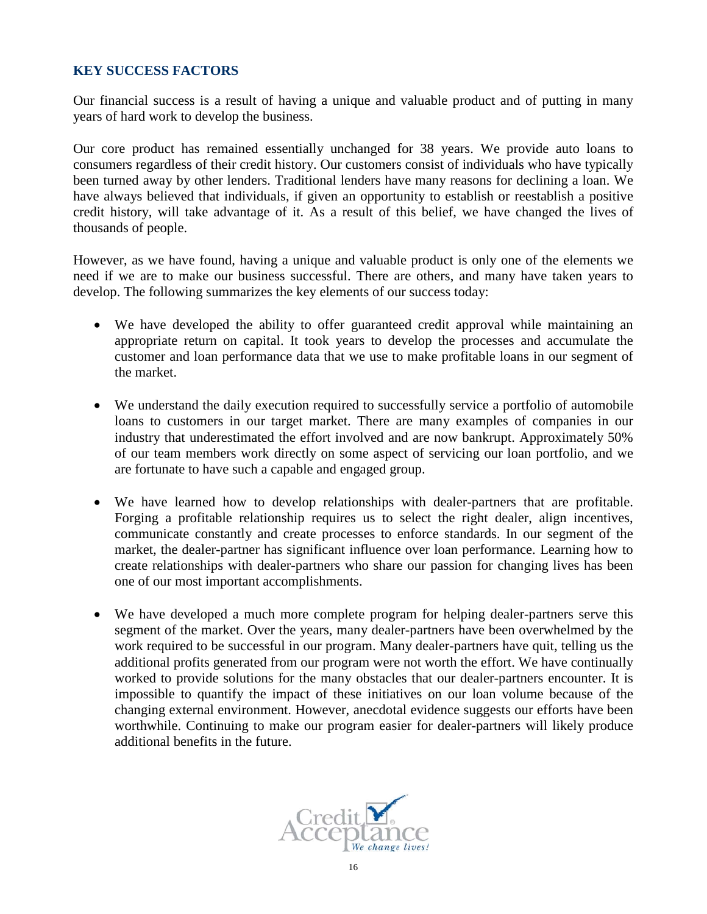#### **KEY SUCCESS FACTORS**

Our financial success is a result of having a unique and valuable product and of putting in many years of hard work to develop the business.

Our core product has remained essentially unchanged for 38 years. We provide auto loans to consumers regardless of their credit history. Our customers consist of individuals who have typically been turned away by other lenders. Traditional lenders have many reasons for declining a loan. We have always believed that individuals, if given an opportunity to establish or reestablish a positive credit history, will take advantage of it. As a result of this belief, we have changed the lives of thousands of people.

However, as we have found, having a unique and valuable product is only one of the elements we need if we are to make our business successful. There are others, and many have taken years to develop. The following summarizes the key elements of our success today:

- We have developed the ability to offer guaranteed credit approval while maintaining an appropriate return on capital. It took years to develop the processes and accumulate the customer and loan performance data that we use to make profitable loans in our segment of the market.
- We understand the daily execution required to successfully service a portfolio of automobile loans to customers in our target market. There are many examples of companies in our industry that underestimated the effort involved and are now bankrupt. Approximately 50% of our team members work directly on some aspect of servicing our loan portfolio, and we are fortunate to have such a capable and engaged group.
- We have learned how to develop relationships with dealer-partners that are profitable. Forging a profitable relationship requires us to select the right dealer, align incentives, communicate constantly and create processes to enforce standards. In our segment of the market, the dealer-partner has significant influence over loan performance. Learning how to create relationships with dealer-partners who share our passion for changing lives has been one of our most important accomplishments.
- We have developed a much more complete program for helping dealer-partners serve this segment of the market. Over the years, many dealer-partners have been overwhelmed by the work required to be successful in our program. Many dealer-partners have quit, telling us the additional profits generated from our program were not worth the effort. We have continually worked to provide solutions for the many obstacles that our dealer-partners encounter. It is impossible to quantify the impact of these initiatives on our loan volume because of the changing external environment. However, anecdotal evidence suggests our efforts have been worthwhile. Continuing to make our program easier for dealer-partners will likely produce additional benefits in the future.

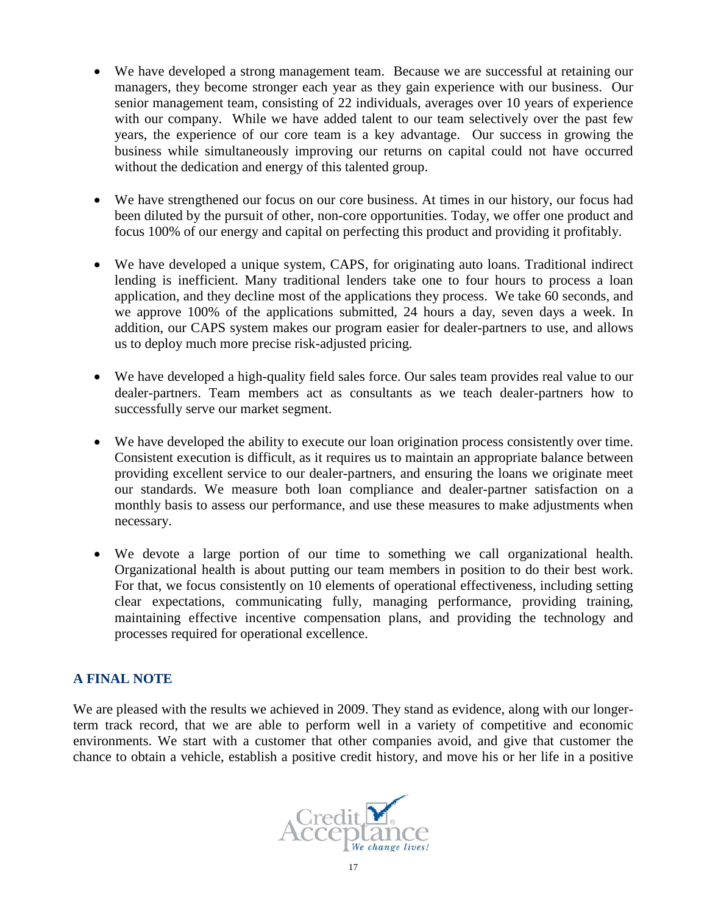- We have developed a strong management team. Because we are successful at retaining our managers, they become stronger each year as they gain experience with our business. Our senior management team, consisting of 22 individuals, averages over 10 years of experience with our company. While we have added talent to our team selectively over the past few years, the experience of our core team is a key advantage. Our success in growing the business while simultaneously improving our returns on capital could not have occurred without the dedication and energy of this talented group.
- We have strengthened our focus on our core business. At times in our history, our focus had been diluted by the pursuit of other, non-core opportunities. Today, we offer one product and focus 100% of our energy and capital on perfecting this product and providing it profitably.
- We have developed a unique system, CAPS, for originating auto loans. Traditional indirect lending is inefficient. Many traditional lenders take one to four hours to process a loan application, and they decline most of the applications they process. We take 60 seconds, and we approve 100% of the applications submitted, 24 hours a day, seven days a week. In addition, our CAPS system makes our program easier for dealer-partners to use, and allows us to deploy much more precise risk-adjusted pricing.
- We have developed a high-quality field sales force. Our sales team provides real value to our dealer-partners. Team members act as consultants as we teach dealer-partners how to successfully serve our market segment.
- We have developed the ability to execute our loan origination process consistently over time. Consistent execution is difficult, as it requires us to maintain an appropriate balance between providing excellent service to our dealer-partners, and ensuring the loans we originate meet our standards. We measure both loan compliance and dealer-partner satisfaction on a monthly basis to assess our performance, and use these measures to make adjustments when necessary.
- We devote a large portion of our time to something we call organizational health. Organizational health is about putting our team members in position to do their best work. For that, we focus consistently on 10 elements of operational effectiveness, including setting clear expectations, communicating fully, managing performance, providing training, maintaining effective incentive compensation plans, and providing the technology and processes required for operational excellence.

## **A FINAL NOTE**

We are pleased with the results we achieved in 2009. They stand as evidence, along with our longerterm track record, that we are able to perform well in a variety of competitive and economic environments. We start with a customer that other companies avoid, and give that customer the chance to obtain a vehicle, establish a positive credit history, and move his or her life in a positive

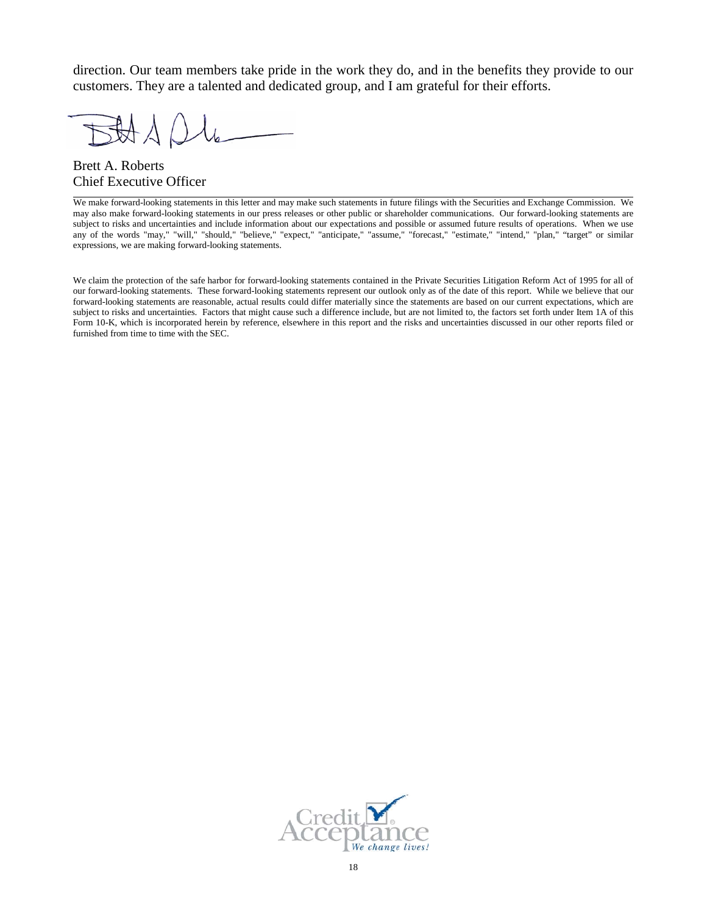direction. Our team members take pride in the work they do, and in the benefits they provide to our customers. They are a talented and dedicated group, and I am grateful for their efforts.

Brett A. Roberts Chief Executive Officer

We make forward-looking statements in this letter and may make such statements in future filings with the Securities and Exchange Commission. We may also make forward-looking statements in our press releases or other public or shareholder communications. Our forward-looking statements are subject to risks and uncertainties and include information about our expectations and possible or assumed future results of operations. When we use any of the words "may," "will," "should," "believe," "expect," "anticipate," "assume," "forecast," "estimate," "intend," "plan," "target" or similar expressions, we are making forward-looking statements.

We claim the protection of the safe harbor for forward-looking statements contained in the Private Securities Litigation Reform Act of 1995 for all of our forward-looking statements. These forward-looking statements represent our outlook only as of the date of this report. While we believe that our forward-looking statements are reasonable, actual results could differ materially since the statements are based on our current expectations, which are subject to risks and uncertainties. Factors that might cause such a difference include, but are not limited to, the factors set forth under Item 1A of this Form 10-K, which is incorporated herein by reference, elsewhere in this report and the risks and uncertainties discussed in our other reports filed or furnished from time to time with the SEC.

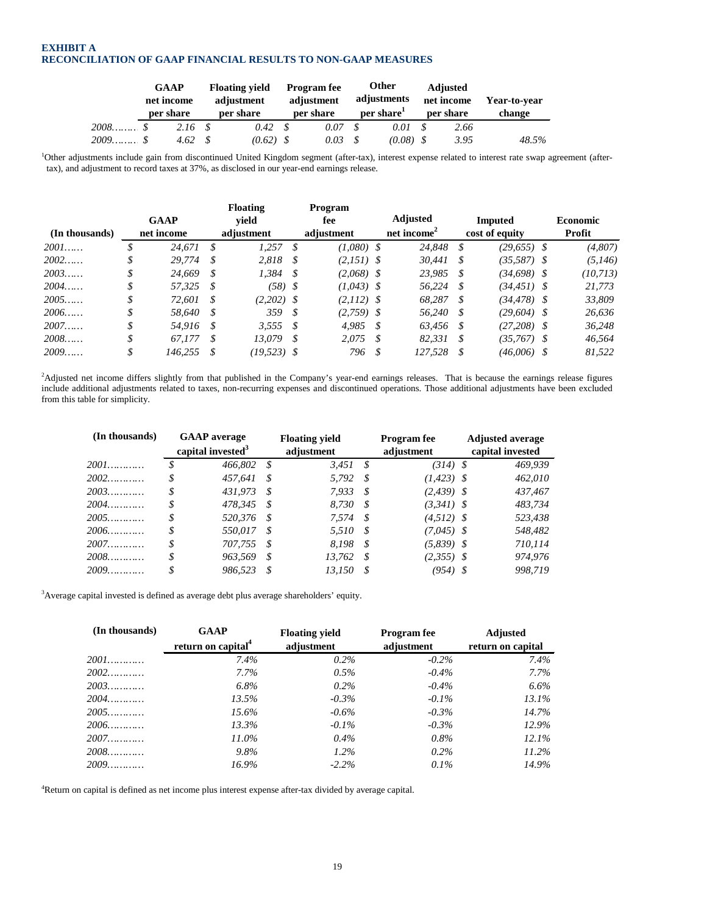#### **EXHIBIT A RECONCILIATION OF GAAP FINANCIAL RESULTS TO NON-GAAP MEASURES**

|                                     | <b>GAAP</b><br>net income<br>per share | <b>Floating vield</b><br>adiustment<br>per share |      | <b>Program</b> fee<br>adjustment<br>per share | <b>Other</b><br>adjustments<br>per share <sup>1</sup> | Adjusted<br>net income<br>per share | Year-to-vear<br>change |
|-------------------------------------|----------------------------------------|--------------------------------------------------|------|-----------------------------------------------|-------------------------------------------------------|-------------------------------------|------------------------|
| $2008$ $\ldots$ $\ldots$ $\ddot{s}$ | 2.16 \$                                | 0.42                                             | - \$ | 0.07                                          | 0.01                                                  | 2.66                                |                        |
| $2009$ $\ldots$ \$                  | 4.62                                   | $(0.62)$ \$                                      |      | 0.03                                          | $(0.08)$ \$                                           | 3.95                                | 48.5%                  |

1 Other adjustments include gain from discontinued United Kingdom segment (after-tax), interest expense related to interest rate swap agreement (aftertax), and adjustment to record taxes at 37%, as disclosed in our year-end earnings release.

|                | <b>GAAP</b>     |    | <b>Floating</b><br>vield |      | Program<br>fee |      | <b>Adjusted</b>         |      | <b>Imputed</b> | <b>Economic</b> |
|----------------|-----------------|----|--------------------------|------|----------------|------|-------------------------|------|----------------|-----------------|
| (In thousands) | net income      |    | adjustment               |      | adjustment     |      | net income <sup>2</sup> |      | cost of equity | Profit          |
| 2001           | 24.671          | \$ | 1.257                    | - \$ | $(1,080)$ \$   |      | 24,848                  | \$   | $(29, 655)$ \$ | (4,807)         |
| 2002           | \$<br>29,774    | S  | 2,818                    | - \$ | $(2,151)$ \$   |      | 30,441                  | \$   | $(35,587)$ \$  | (5,146)         |
| 2003           | \$<br>24.669    | S  | 1,384                    | - \$ | $(2,068)$ \$   |      | 23,985                  | - \$ | $(34,698)$ \$  | (10, 713)       |
| 2004           | \$<br>57,325 \$ |    | $(58)$ \$                |      | $(1,043)$ \$   |      | 56,224 \$               |      | $(34, 451)$ \$ | 21,773          |
| 2005           | \$<br>72.601 \$ |    | $(2,202)$ \$             |      | $(2,112)$ \$   |      | 68.287 \$               |      | $(34, 478)$ \$ | 33,809          |
| 2006           | \$<br>58.640 \$ |    | 359 \$                   |      | $(2,759)$ \$   |      | 56.240 \$               |      | $(29,604)$ \$  | 26,636          |
| 2007           | \$<br>54.916 \$ |    | $3,555$ \$               |      | 4.985          | - S  | 63.456 \$               |      | $(27,208)$ \$  | 36,248          |
| 2008           | \$<br>67,177    | \$ | 13.079 \$                |      | 2,075          | - \$ | 82.331                  | \$   | $(35,767)$ \$  | 46,564          |
| 2009           | 146,255         | S  | $(19, 523)$ \$           |      | 796            | .\$  | 127.528                 | S    | $(46,006)$ \$  | 81,522          |

<sup>2</sup>Adjusted net income differs slightly from that published in the Company's year-end earnings releases. That is because the earnings release figures include additional adjustments related to taxes, non-recurring expenses and discontinued operations. Those additional adjustments have been excluded from this table for simplicity.

| (In thousands) | <b>GAAP</b> average           |            |    | <b>Floating yield</b> |            | <b>Program</b> fee | <b>Adjusted average</b> |                  |  |
|----------------|-------------------------------|------------|----|-----------------------|------------|--------------------|-------------------------|------------------|--|
|                | capital invested <sup>3</sup> |            |    | adjustment            | adjustment |                    |                         | capital invested |  |
| $2001$         |                               | 466,802 \$ |    | $3,451$ \$            |            | $(314)$ \$         |                         | 469,939          |  |
| $2002$         |                               | 457.641    | S  | 5,792                 | - S        | $(1, 423)$ \$      |                         | 462,010          |  |
| $2003$         |                               | 431,973    | S  | 7,933                 | - S        | $(2,439)$ \$       |                         | 437,467          |  |
| $2004$         |                               | 478.345    | \$ | 8.730                 | - \$       | $(3,341)$ \$       |                         | 483.734          |  |
| $2005$         |                               | 520,376 \$ |    | 7.574                 | - \$       | $(4,512)$ \$       |                         | 523,438          |  |
| $2006$         | \$                            | 550,017    | -8 | 5,510                 | - \$       | $(7,045)$ \$       |                         | 548,482          |  |
| $2007$         |                               | 707,755    | \$ | 8.198                 | - \$       | $(5,839)$ \$       |                         | 710.114          |  |
| $2008$         |                               | 963.569    | \$ | 13.762                | - S        | $(2,355)$ \$       |                         | 974.976          |  |
| $2009$         |                               | 986.523    |    | 13.150                | - S        | $(954)$ \$         |                         | 998.719          |  |

<sup>3</sup> Average capital invested is defined as average debt plus average shareholders' equity.

| (In thousands) | <b>GAAP</b>                    | <b>Floating yield</b> | <b>Program</b> fee | <b>Adjusted</b>   |  |
|----------------|--------------------------------|-----------------------|--------------------|-------------------|--|
|                | return on capital <sup>4</sup> | adjustment            | adjustment         | return on capital |  |
| $2001$         | 7.4%                           | $0.2\%$               | $-0.2\%$           | $7.4\%$           |  |
| $2002$         | 7.7%                           | $0.5\%$               | $-0.4\%$           | $7.7\%$           |  |
| $2003$         | $6.8\%$                        | $0.2\%$               | $-0.4\%$           | $6.6\%$           |  |
| $2004$         | 13.5%                          | $-0.3\%$              | $-0.1\%$           | $13.1\%$          |  |
| $2005$         | 15.6%                          | $-0.6\%$              | $-0.3\%$           | 14.7%             |  |
| 2006           | 13.3%                          | $-0.1\%$              | $-0.3\%$           | 12.9%             |  |
| $2007$         | 11.0%                          | $0.4\%$               | $0.8\%$            | 12.1%             |  |
| $2008$         | $9.8\%$                        | $1.2\%$               | $0.2\%$            | $11.2\%$          |  |
| 2009           | 16.9%                          | $-2.2\%$              | $0.1\%$            | 14.9%             |  |

4 Return on capital is defined as net income plus interest expense after-tax divided by average capital.